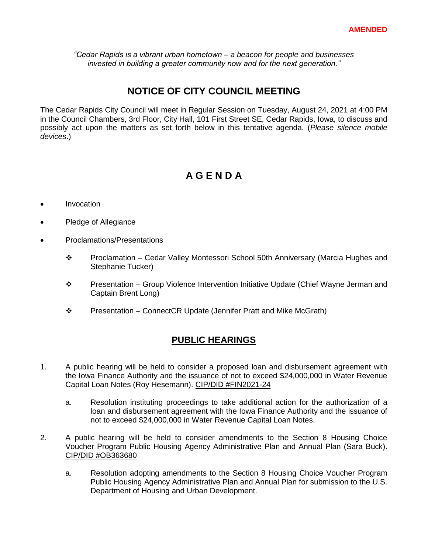*"Cedar Rapids is a vibrant urban hometown – a beacon for people and businesses invested in building a greater community now and for the next generation."*

## **NOTICE OF CITY COUNCIL MEETING**

The Cedar Rapids City Council will meet in Regular Session on Tuesday, August 24, 2021 at 4:00 PM in the Council Chambers, 3rd Floor, City Hall, 101 First Street SE, Cedar Rapids, Iowa, to discuss and possibly act upon the matters as set forth below in this tentative agenda. (*Please silence mobile devices*.)

# **A G E N D A**

- Invocation
- Pledge of Allegiance
- Proclamations/Presentations
	- $\div$  Proclamation Cedar Valley Montessori School 50th Anniversary (Marcia Hughes and Stephanie Tucker)
	- ◆ Presentation Group Violence Intervention Initiative Update (Chief Wayne Jerman and Captain Brent Long)
	- Presentation ConnectCR Update (Jennifer Pratt and Mike McGrath)

### **PUBLIC HEARINGS**

- 1. A public hearing will be held to consider a proposed loan and disbursement agreement with the Iowa Finance Authority and the issuance of not to exceed \$24,000,000 in Water Revenue Capital Loan Notes (Roy Hesemann). CIP/DID #FIN2021-24
	- a. Resolution instituting proceedings to take additional action for the authorization of a loan and disbursement agreement with the Iowa Finance Authority and the issuance of not to exceed \$24,000,000 in Water Revenue Capital Loan Notes.
- 2. A public hearing will be held to consider amendments to the Section 8 Housing Choice Voucher Program Public Housing Agency Administrative Plan and Annual Plan (Sara Buck). CIP/DID #OB363680
	- a. Resolution adopting amendments to the Section 8 Housing Choice Voucher Program Public Housing Agency Administrative Plan and Annual Plan for submission to the U.S. Department of Housing and Urban Development.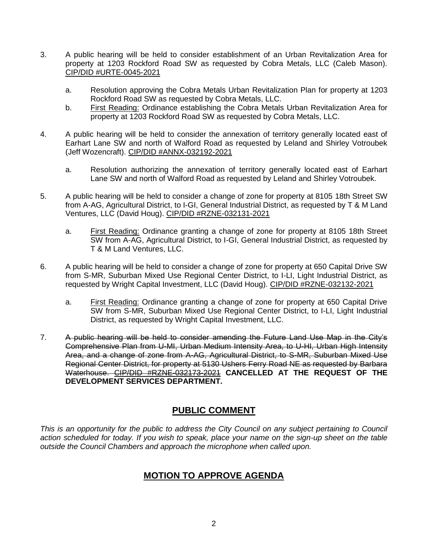- 3. A public hearing will be held to consider establishment of an Urban Revitalization Area for property at 1203 Rockford Road SW as requested by Cobra Metals, LLC (Caleb Mason). CIP/DID #URTE-0045-2021
	- a. Resolution approving the Cobra Metals Urban Revitalization Plan for property at 1203 Rockford Road SW as requested by Cobra Metals, LLC.
	- b. First Reading: Ordinance establishing the Cobra Metals Urban Revitalization Area for property at 1203 Rockford Road SW as requested by Cobra Metals, LLC.
- 4. A public hearing will be held to consider the annexation of territory generally located east of Earhart Lane SW and north of Walford Road as requested by Leland and Shirley Votroubek (Jeff Wozencraft). CIP/DID #ANNX-032192-2021
	- a. Resolution authorizing the annexation of territory generally located east of Earhart Lane SW and north of Walford Road as requested by Leland and Shirley Votroubek.
- 5. A public hearing will be held to consider a change of zone for property at 8105 18th Street SW from A-AG, Agricultural District, to I-GI, General Industrial District, as requested by T & M Land Ventures, LLC (David Houg). CIP/DID #RZNE-032131-2021
	- a. First Reading: Ordinance granting a change of zone for property at 8105 18th Street SW from A-AG, Agricultural District, to I-GI, General Industrial District, as requested by T & M Land Ventures, LLC.
- 6. A public hearing will be held to consider a change of zone for property at 650 Capital Drive SW from S-MR, Suburban Mixed Use Regional Center District, to I-LI, Light Industrial District, as requested by Wright Capital Investment, LLC (David Houg). CIP/DID #RZNE-032132-2021
	- a. First Reading: Ordinance granting a change of zone for property at 650 Capital Drive SW from S-MR, Suburban Mixed Use Regional Center District, to I-LI, Light Industrial District, as requested by Wright Capital Investment, LLC.
- 7. A public hearing will be held to consider amending the Future Land Use Map in the City's Comprehensive Plan from U-MI, Urban Medium Intensity Area, to U-HI, Urban High Intensity Area, and a change of zone from A-AG, Agricultural District, to S-MR, Suburban Mixed Use Regional Center District, for property at 5130 Ushers Ferry Road NE as requested by Barbara Waterhouse. CIP/DID #RZNE-032173-2021 **CANCELLED AT THE REQUEST OF THE DEVELOPMENT SERVICES DEPARTMENT.**

## **PUBLIC COMMENT**

*This is an opportunity for the public to address the City Council on any subject pertaining to Council action scheduled for today. If you wish to speak, place your name on the sign-up sheet on the table outside the Council Chambers and approach the microphone when called upon.*

## **MOTION TO APPROVE AGENDA**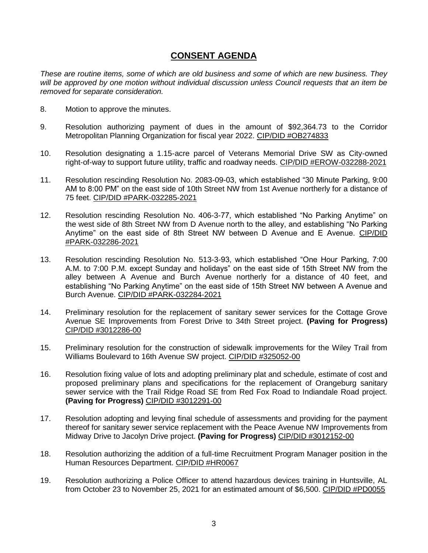## **CONSENT AGENDA**

*These are routine items, some of which are old business and some of which are new business. They will be approved by one motion without individual discussion unless Council requests that an item be removed for separate consideration.*

- 8. Motion to approve the minutes.
- 9. Resolution authorizing payment of dues in the amount of \$92,364.73 to the Corridor Metropolitan Planning Organization for fiscal year 2022. CIP/DID #OB274833
- 10. Resolution designating a 1.15-acre parcel of Veterans Memorial Drive SW as City-owned right-of-way to support future utility, traffic and roadway needs. CIP/DID #EROW-032288-2021
- 11. Resolution rescinding Resolution No. 2083-09-03, which established "30 Minute Parking, 9:00 AM to 8:00 PM" on the east side of 10th Street NW from 1st Avenue northerly for a distance of 75 feet. CIP/DID #PARK-032285-2021
- 12. Resolution rescinding Resolution No. 406-3-77, which established "No Parking Anytime" on the west side of 8th Street NW from D Avenue north to the alley, and establishing "No Parking Anytime" on the east side of 8th Street NW between D Avenue and E Avenue. CIP/DID #PARK-032286-2021
- 13. Resolution rescinding Resolution No. 513-3-93, which established "One Hour Parking, 7:00 A.M. to 7:00 P.M. except Sunday and holidays" on the east side of 15th Street NW from the alley between A Avenue and Burch Avenue northerly for a distance of 40 feet, and establishing "No Parking Anytime" on the east side of 15th Street NW between A Avenue and Burch Avenue. CIP/DID #PARK-032284-2021
- 14. Preliminary resolution for the replacement of sanitary sewer services for the Cottage Grove Avenue SE Improvements from Forest Drive to 34th Street project. **(Paving for Progress)**  CIP/DID #3012286-00
- 15. Preliminary resolution for the construction of sidewalk improvements for the Wiley Trail from Williams Boulevard to 16th Avenue SW project. CIP/DID #325052-00
- 16. Resolution fixing value of lots and adopting preliminary plat and schedule, estimate of cost and proposed preliminary plans and specifications for the replacement of Orangeburg sanitary sewer service with the Trail Ridge Road SE from Red Fox Road to Indiandale Road project. **(Paving for Progress)** CIP/DID #3012291-00
- 17. Resolution adopting and levying final schedule of assessments and providing for the payment thereof for sanitary sewer service replacement with the Peace Avenue NW Improvements from Midway Drive to Jacolyn Drive project. **(Paving for Progress)** CIP/DID #3012152-00
- 18. Resolution authorizing the addition of a full-time Recruitment Program Manager position in the Human Resources Department. CIP/DID #HR0067
- 19. Resolution authorizing a Police Officer to attend hazardous devices training in Huntsville, AL from October 23 to November 25, 2021 for an estimated amount of \$6,500. CIP/DID #PD0055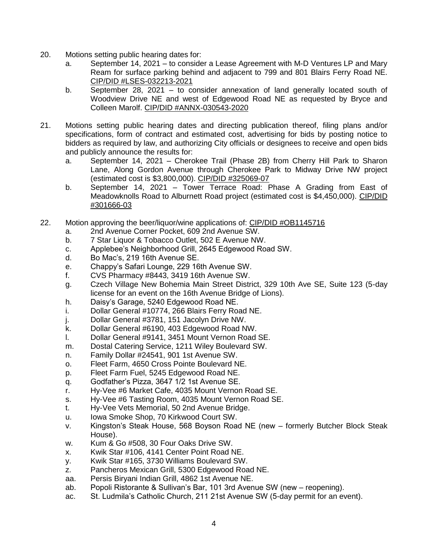- 20. Motions setting public hearing dates for:
	- a. September 14, 2021 to consider a Lease Agreement with M-D Ventures LP and Mary Ream for surface parking behind and adjacent to 799 and 801 Blairs Ferry Road NE. CIP/DID #LSES-032213-2021
	- b. September 28, 2021 to consider annexation of land generally located south of Woodview Drive NE and west of Edgewood Road NE as requested by Bryce and Colleen Marolf. CIP/DID #ANNX-030543-2020
- 21. Motions setting public hearing dates and directing publication thereof, filing plans and/or specifications, form of contract and estimated cost, advertising for bids by posting notice to bidders as required by law, and authorizing City officials or designees to receive and open bids and publicly announce the results for:
	- a. September 14, 2021 Cherokee Trail (Phase 2B) from Cherry Hill Park to Sharon Lane, Along Gordon Avenue through Cherokee Park to Midway Drive NW project (estimated cost is \$3,800,000). CIP/DID #325069-07
	- b. September 14, 2021 Tower Terrace Road: Phase A Grading from East of Meadowknolls Road to Alburnett Road project (estimated cost is \$4,450,000). CIP/DID #301666-03
- 22. Motion approving the beer/liquor/wine applications of: CIP/DID #OB1145716
	- a. 2nd Avenue Corner Pocket, 609 2nd Avenue SW.
	- b. 7 Star Liquor & Tobacco Outlet, 502 E Avenue NW.
	- c. Applebee's Neighborhood Grill, 2645 Edgewood Road SW.
	- d. Bo Mac's, 219 16th Avenue SE.
	- e. Chappy's Safari Lounge, 229 16th Avenue SW.
	- f. CVS Pharmacy #8443, 3419 16th Avenue SW.
	- g. Czech Village New Bohemia Main Street District, 329 10th Ave SE, Suite 123 (5-day license for an event on the 16th Avenue Bridge of Lions).
	- h. Daisy's Garage, 5240 Edgewood Road NE.
	- i. Dollar General #10774, 266 Blairs Ferry Road NE.
	- j. Dollar General #3781, 151 Jacolyn Drive NW.
	- k. Dollar General #6190, 403 Edgewood Road NW.
	- l. Dollar General #9141, 3451 Mount Vernon Road SE.
	- m. Dostal Catering Service, 1211 Wiley Boulevard SW.
	- n. Family Dollar #24541, 901 1st Avenue SW.
	- o. Fleet Farm, 4650 Cross Pointe Boulevard NE.
	- p. Fleet Farm Fuel, 5245 Edgewood Road NE.
	- q. Godfather's Pizza, 3647 1/2 1st Avenue SE.
	- r. Hy-Vee #6 Market Cafe, 4035 Mount Vernon Road SE.
	- s. Hy-Vee #6 Tasting Room, 4035 Mount Vernon Road SE.
	- t. Hy-Vee Vets Memorial, 50 2nd Avenue Bridge.
	- u. Iowa Smoke Shop, 70 Kirkwood Court SW.
	- v. Kingston's Steak House, 568 Boyson Road NE (new formerly Butcher Block Steak House).
	- w. Kum & Go #508, 30 Four Oaks Drive SW.
	- x. Kwik Star #106, 4141 Center Point Road NE.
	- y. Kwik Star #165, 3730 Williams Boulevard SW.
	- z. Pancheros Mexican Grill, 5300 Edgewood Road NE.
	- aa. Persis Biryani Indian Grill, 4862 1st Avenue NE.
	- ab. Popoli Ristorante & Sullivan's Bar, 101 3rd Avenue SW (new reopening).
	- ac. St. Ludmila's Catholic Church, 211 21st Avenue SW (5-day permit for an event).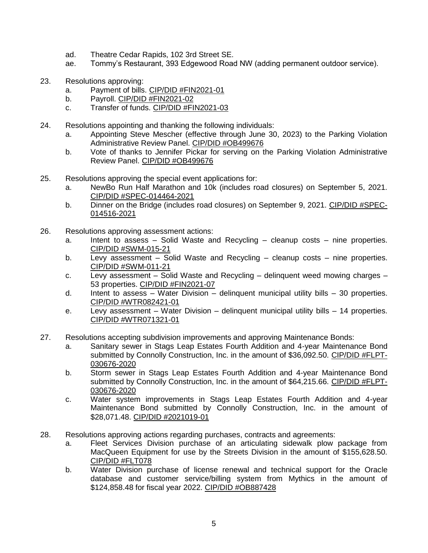- ad. Theatre Cedar Rapids, 102 3rd Street SE.
- ae. Tommy's Restaurant, 393 Edgewood Road NW (adding permanent outdoor service).
- 23. Resolutions approving:
	- a. Payment of bills. CIP/DID #FIN2021-01
	- b. Payroll. CIP/DID #FIN2021-02
	- c. Transfer of funds. CIP/DID #FIN2021-03
- 24. Resolutions appointing and thanking the following individuals:
	- a. Appointing Steve Mescher (effective through June 30, 2023) to the Parking Violation Administrative Review Panel. CIP/DID #OB499676
	- b. Vote of thanks to Jennifer Pickar for serving on the Parking Violation Administrative Review Panel. CIP/DID #OB499676
- 25. Resolutions approving the special event applications for:
	- a. NewBo Run Half Marathon and 10k (includes road closures) on September 5, 2021. CIP/DID #SPEC-014464-2021
	- b. Dinner on the Bridge (includes road closures) on September 9, 2021. CIP/DID #SPEC-014516-2021
- 26. Resolutions approving assessment actions:
	- a. Intent to assess Solid Waste and Recycling cleanup costs nine properties. CIP/DID #SWM-015-21
	- b. Levy assessment Solid Waste and Recycling cleanup costs nine properties. CIP/DID #SWM-011-21
	- c. Levy assessment Solid Waste and Recycling delinquent weed mowing charges 53 properties. CIP/DID #FIN2021-07
	- d. Intent to assess Water Division delinguent municipal utility bills 30 properties. CIP/DID #WTR082421-01
	- e. Levy assessment Water Division delinquent municipal utility bills 14 properties. CIP/DID #WTR071321-01
- 27. Resolutions accepting subdivision improvements and approving Maintenance Bonds:
	- a. Sanitary sewer in Stags Leap Estates Fourth Addition and 4-year Maintenance Bond submitted by Connolly Construction, Inc. in the amount of \$36,092.50. CIP/DID #FLPT-030676-2020
	- b. Storm sewer in Stags Leap Estates Fourth Addition and 4-year Maintenance Bond submitted by Connolly Construction, Inc. in the amount of \$64,215.66. CIP/DID #FLPT-030676-2020
	- c. Water system improvements in Stags Leap Estates Fourth Addition and 4-year Maintenance Bond submitted by Connolly Construction, Inc. in the amount of \$28,071.48. CIP/DID #2021019-01
- 28. Resolutions approving actions regarding purchases, contracts and agreements:
	- a. Fleet Services Division purchase of an articulating sidewalk plow package from MacQueen Equipment for use by the Streets Division in the amount of \$155,628.50. CIP/DID #FLT078
	- b. Water Division purchase of license renewal and technical support for the Oracle database and customer service/billing system from Mythics in the amount of \$124,858.48 for fiscal year 2022. CIP/DID #OB887428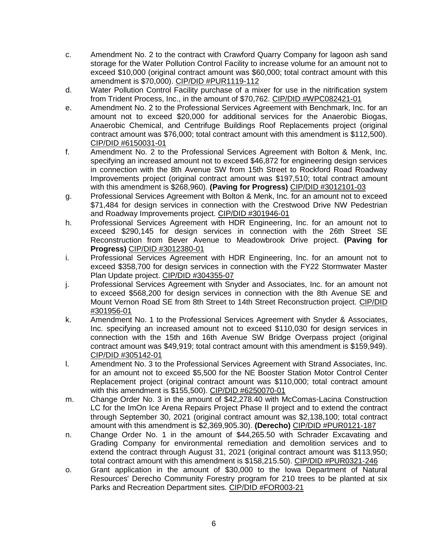- c. Amendment No. 2 to the contract with Crawford Quarry Company for lagoon ash sand storage for the Water Pollution Control Facility to increase volume for an amount not to exceed \$10,000 (original contract amount was \$60,000; total contract amount with this amendment is \$70,000). CIP/DID #PUR1119-112
- d. Water Pollution Control Facility purchase of a mixer for use in the nitrification system from Trident Process, Inc., in the amount of \$70,762. CIP/DID #WPC082421-01
- e. Amendment No. 2 to the Professional Services Agreement with Benchmark, Inc. for an amount not to exceed \$20,000 for additional services for the Anaerobic Biogas, Anaerobic Chemical, and Centrifuge Buildings Roof Replacements project (original contract amount was \$76,000; total contract amount with this amendment is \$112,500). CIP/DID #6150031-01
- f. Amendment No. 2 to the Professional Services Agreement with Bolton & Menk, Inc. specifying an increased amount not to exceed \$46,872 for engineering design services in connection with the 8th Avenue SW from 15th Street to Rockford Road Roadway Improvements project (original contract amount was \$197,510; total contract amount with this amendment is \$268,960). **(Paving for Progress)** CIP/DID #3012101-03
- g. Professional Services Agreement with Bolton & Menk, Inc. for an amount not to exceed \$71,484 for design services in connection with the Crestwood Drive NW Pedestrian and Roadway Improvements project. CIP/DID #301946-01
- h. Professional Services Agreement with HDR Engineering, Inc. for an amount not to exceed \$290,145 for design services in connection with the 26th Street SE Reconstruction from Bever Avenue to Meadowbrook Drive project. **(Paving for Progress)** CIP/DID #3012380-01
- i. Professional Services Agreement with HDR Engineering, Inc. for an amount not to exceed \$358,700 for design services in connection with the FY22 Stormwater Master Plan Update project. CIP/DID #304355-07
- j. Professional Services Agreement with Snyder and Associates, Inc. for an amount not to exceed \$568,200 for design services in connection with the 8th Avenue SE and Mount Vernon Road SE from 8th Street to 14th Street Reconstruction project. CIP/DID #301956-01
- k. Amendment No. 1 to the Professional Services Agreement with Snyder & Associates, Inc. specifying an increased amount not to exceed \$110,030 for design services in connection with the 15th and 16th Avenue SW Bridge Overpass project (original contract amount was \$49,919; total contract amount with this amendment is \$159,949). CIP/DID #305142-01
- l. Amendment No. 3 to the Professional Services Agreement with Strand Associates, Inc. for an amount not to exceed \$5,500 for the NE Booster Station Motor Control Center Replacement project (original contract amount was \$110,000; total contract amount with this amendment is \$155,500). CIP/DID #6250070-01
- m. Change Order No. 3 in the amount of \$42,278.40 with McComas-Lacina Construction LC for the ImOn Ice Arena Repairs Project Phase II project and to extend the contract through September 30, 2021 (original contract amount was \$2,138,100; total contract amount with this amendment is \$2,369,905.30). **(Derecho)** CIP/DID #PUR0121-187
- n. Change Order No. 1 in the amount of \$44,265.50 with Schrader Excavating and Grading Company for environmental remediation and demolition services and to extend the contract through August 31, 2021 (original contract amount was \$113,950; total contract amount with this amendment is \$158,215.50). CIP/DID #PUR0321-246
- o. Grant application in the amount of \$30,000 to the Iowa Department of Natural Resources' Derecho Community Forestry program for 210 trees to be planted at six Parks and Recreation Department sites. CIP/DID #FOR003-21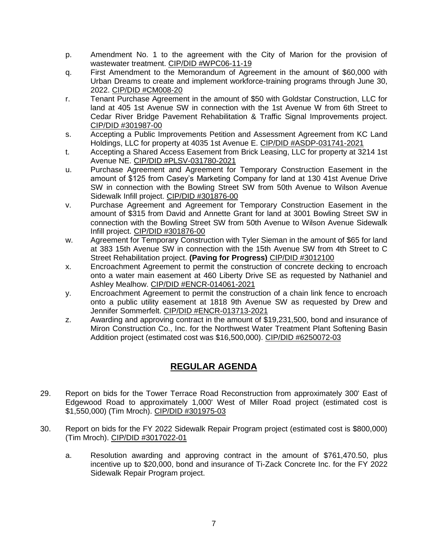- p. Amendment No. 1 to the agreement with the City of Marion for the provision of wastewater treatment. CIP/DID #WPC06-11-19
- q. First Amendment to the Memorandum of Agreement in the amount of \$60,000 with Urban Dreams to create and implement workforce-training programs through June 30, 2022. CIP/DID #CM008-20
- r. Tenant Purchase Agreement in the amount of \$50 with Goldstar Construction, LLC for land at 405 1st Avenue SW in connection with the 1st Avenue W from 6th Street to Cedar River Bridge Pavement Rehabilitation & Traffic Signal Improvements project. CIP/DID #301987-00
- s. Accepting a Public Improvements Petition and Assessment Agreement from KC Land Holdings, LLC for property at 4035 1st Avenue E. CIP/DID #ASDP-031741-2021
- t. Accepting a Shared Access Easement from Brick Leasing, LLC for property at 3214 1st Avenue NE. CIP/DID #PLSV-031780-2021
- u. Purchase Agreement and Agreement for Temporary Construction Easement in the amount of \$125 from Casey's Marketing Company for land at 130 41st Avenue Drive SW in connection with the Bowling Street SW from 50th Avenue to Wilson Avenue Sidewalk Infill project. CIP/DID #301876-00
- v. Purchase Agreement and Agreement for Temporary Construction Easement in the amount of \$315 from David and Annette Grant for land at 3001 Bowling Street SW in connection with the Bowling Street SW from 50th Avenue to Wilson Avenue Sidewalk Infill project. CIP/DID #301876-00
- w. Agreement for Temporary Construction with Tyler Sieman in the amount of \$65 for land at 383 15th Avenue SW in connection with the 15th Avenue SW from 4th Street to C Street Rehabilitation project. **(Paving for Progress)** CIP/DID #3012100
- x. Encroachment Agreement to permit the construction of concrete decking to encroach onto a water main easement at 460 Liberty Drive SE as requested by Nathaniel and Ashley Mealhow. CIP/DID #ENCR-014061-2021
- y. Encroachment Agreement to permit the construction of a chain link fence to encroach onto a public utility easement at 1818 9th Avenue SW as requested by Drew and Jennifer Sommerfelt. CIP/DID #ENCR-013713-2021
- z. Awarding and approving contract in the amount of \$19,231,500, bond and insurance of Miron Construction Co., Inc. for the Northwest Water Treatment Plant Softening Basin Addition project (estimated cost was \$16,500,000). CIP/DID #6250072-03

## **REGULAR AGENDA**

- 29. Report on bids for the Tower Terrace Road Reconstruction from approximately 300' East of Edgewood Road to approximately 1,000' West of Miller Road project (estimated cost is \$1,550,000) (Tim Mroch). CIP/DID #301975-03
- 30. Report on bids for the FY 2022 Sidewalk Repair Program project (estimated cost is \$800,000) (Tim Mroch). CIP/DID #3017022-01
	- a. Resolution awarding and approving contract in the amount of \$761,470.50, plus incentive up to \$20,000, bond and insurance of Ti-Zack Concrete Inc. for the FY 2022 Sidewalk Repair Program project.